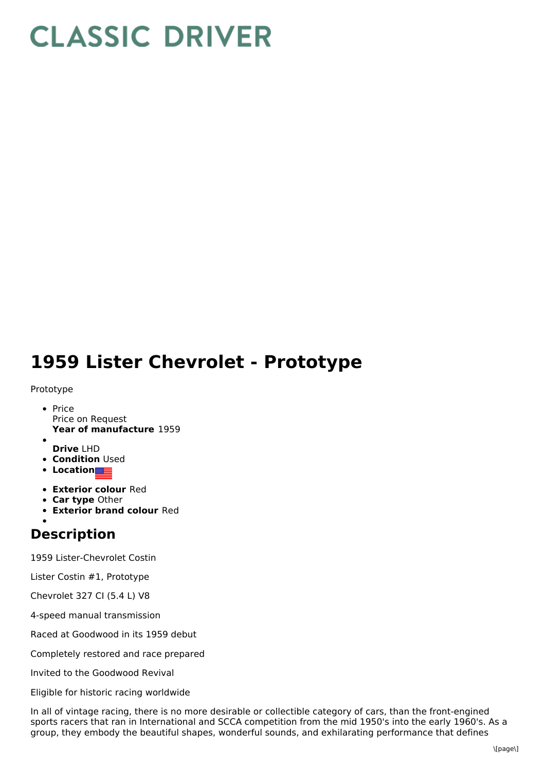# **CLASSIC DRIVER**

## **1959 Lister Chevrolet - Prototype**

#### Prototype

- **Year of manufacture** 1959 • Price Price on Request
- **Drive** LHD
- **Condition Used**
- **Location**
- **Exterior colour** Red
- **Car type** Other
- **Exterior brand colour** Red

### **Description**

1959 Lister-Chevrolet Costin

Lister Costin #1, Prototype

Chevrolet 327 CI (5.4 L) V8

4-speed manual transmission

Raced at Goodwood in its 1959 debut

Completely restored and race prepared

Invited to the Goodwood Revival

Eligible for historic racing worldwide

In all of vintage racing, there is no more desirable or collectible category of cars, than the front-engined sports racers that ran in International and SCCA competition from the mid 1950's into the early 1960's. As a group, they embody the beautiful shapes, wonderful sounds, and exhilarating performance that defines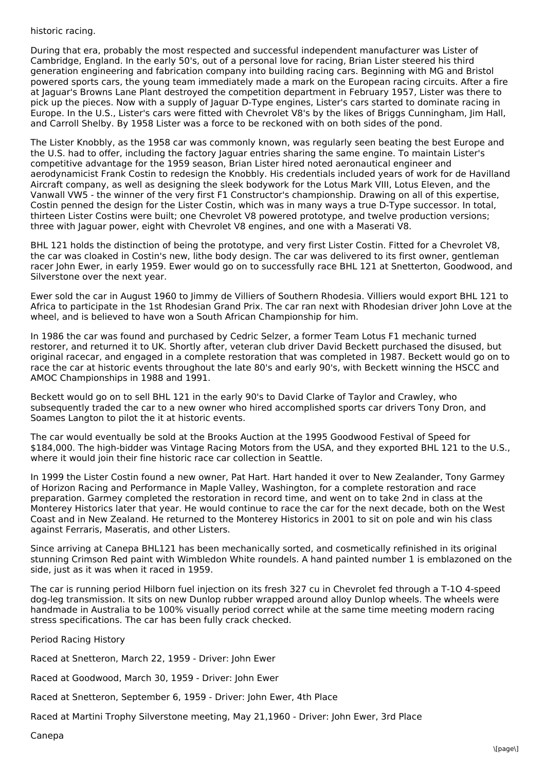#### historic racing.

During that era, probably the most respected and successful independent manufacturer was Lister of Cambridge, England. In the early 50's, out of a personal love for racing, Brian Lister steered his third generation engineering and fabrication company into building racing cars. Beginning with MG and Bristol powered sports cars, the young team immediately made a mark on the European racing circuits. After a fire at Jaguar's Browns Lane Plant destroyed the competition department in February 1957, Lister was there to pick up the pieces. Now with a supply of Jaguar D-Type engines, Lister's cars started to dominate racing in Europe. In the U.S., Lister's cars were fitted with Chevrolet V8's by the likes of Briggs Cunningham, Jim Hall, and Carroll Shelby. By 1958 Lister was a force to be reckoned with on both sides of the pond.

The Lister Knobbly, as the 1958 car was commonly known, was regularly seen beating the best Europe and the U.S. had to offer, including the factory Jaguar entries sharing the same engine. To maintain Lister's competitive advantage for the 1959 season, Brian Lister hired noted aeronautical engineer and aerodynamicist Frank Costin to redesign the Knobbly. His credentials included years of work for de Havilland Aircraft company, as well as designing the sleek bodywork for the Lotus Mark VIII, Lotus Eleven, and the Vanwall VW5 - the winner of the very first F1 Constructor's championship. Drawing on all of this expertise, Costin penned the design for the Lister Costin, which was in many ways a true D-Type successor. In total, thirteen Lister Costins were built; one Chevrolet V8 powered prototype, and twelve production versions; three with Jaguar power, eight with Chevrolet V8 engines, and one with a Maserati V8.

BHL 121 holds the distinction of being the prototype, and very first Lister Costin. Fitted for a Chevrolet V8, the car was cloaked in Costin's new, lithe body design. The car was delivered to its first owner, gentleman racer John Ewer, in early 1959. Ewer would go on to successfully race BHL 121 at Snetterton, Goodwood, and Silverstone over the next year.

Ewer sold the car in August 1960 to Jimmy de Villiers of Southern Rhodesia. Villiers would export BHL 121 to Africa to participate in the 1st Rhodesian Grand Prix. The car ran next with Rhodesian driver John Love at the wheel, and is believed to have won a South African Championship for him.

In 1986 the car was found and purchased by Cedric Selzer, a former Team Lotus F1 mechanic turned restorer, and returned it to UK. Shortly after, veteran club driver David Beckett purchased the disused, but original racecar, and engaged in a complete restoration that was completed in 1987. Beckett would go on to race the car at historic events throughout the late 80's and early 90's, with Beckett winning the HSCC and AMOC Championships in 1988 and 1991.

Beckett would go on to sell BHL 121 in the early 90's to David Clarke of Taylor and Crawley, who subsequently traded the car to a new owner who hired accomplished sports car drivers Tony Dron, and Soames Langton to pilot the it at historic events.

The car would eventually be sold at the Brooks Auction at the 1995 Goodwood Festival of Speed for \$184,000. The high-bidder was Vintage Racing Motors from the USA, and they exported BHL 121 to the U.S., where it would join their fine historic race car collection in Seattle.

In 1999 the Lister Costin found a new owner, Pat Hart. Hart handed it over to New Zealander, Tony Garmey of Horizon Racing and Performance in Maple Valley, Washington, for a complete restoration and race preparation. Garmey completed the restoration in record time, and went on to take 2nd in class at the Monterey Historics later that year. He would continue to race the car for the next decade, both on the West Coast and in New Zealand. He returned to the Monterey Historics in 2001 to sit on pole and win his class against Ferraris, Maseratis, and other Listers.

Since arriving at Canepa BHL121 has been mechanically sorted, and cosmetically refinished in its original stunning Crimson Red paint with Wimbledon White roundels. A hand painted number 1 is emblazoned on the side, just as it was when it raced in 1959.

The car is running period Hilborn fuel injection on its fresh 327 cu in Chevrolet fed through a T-1O 4-speed dog-leg transmission. It sits on new Dunlop rubber wrapped around alloy Dunlop wheels. The wheels were handmade in Australia to be 100% visually period correct while at the same time meeting modern racing stress specifications. The car has been fully crack checked.

Period Racing History

Raced at Snetteron, March 22, 1959 - Driver: John Ewer

Raced at Goodwood, March 30, 1959 - Driver: John Ewer

Raced at Snetteron, September 6, 1959 - Driver: John Ewer, 4th Place

Raced at Martini Trophy Silverstone meeting, May 21,1960 - Driver: John Ewer, 3rd Place

Canepa